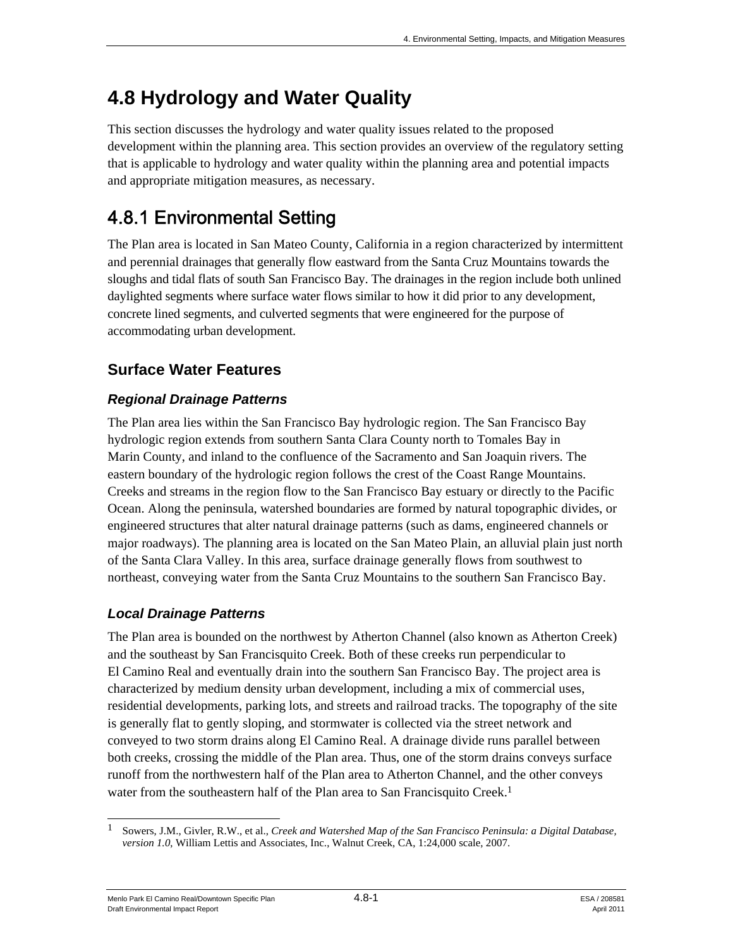# **4.8 Hydrology and Water Quality**

This section discusses the hydrology and water quality issues related to the proposed development within the planning area. This section provides an overview of the regulatory setting that is applicable to hydrology and water quality within the planning area and potential impacts and appropriate mitigation measures, as necessary.

# 4.8.1 Environmental Setting

The Plan area is located in San Mateo County, California in a region characterized by intermittent and perennial drainages that generally flow eastward from the Santa Cruz Mountains towards the sloughs and tidal flats of south San Francisco Bay. The drainages in the region include both unlined daylighted segments where surface water flows similar to how it did prior to any development, concrete lined segments, and culverted segments that were engineered for the purpose of accommodating urban development.

## **Surface Water Features**

### *Regional Drainage Patterns*

The Plan area lies within the San Francisco Bay hydrologic region. The San Francisco Bay hydrologic region extends from southern Santa Clara County north to Tomales Bay in Marin County, and inland to the confluence of the Sacramento and San Joaquin rivers. The eastern boundary of the hydrologic region follows the crest of the Coast Range Mountains. Creeks and streams in the region flow to the San Francisco Bay estuary or directly to the Pacific Ocean. Along the peninsula, watershed boundaries are formed by natural topographic divides, or engineered structures that alter natural drainage patterns (such as dams, engineered channels or major roadways). The planning area is located on the San Mateo Plain, an alluvial plain just north of the Santa Clara Valley. In this area, surface drainage generally flows from southwest to northeast, conveying water from the Santa Cruz Mountains to the southern San Francisco Bay.

### *Local Drainage Patterns*

The Plan area is bounded on the northwest by Atherton Channel (also known as Atherton Creek) and the southeast by San Francisquito Creek. Both of these creeks run perpendicular to El Camino Real and eventually drain into the southern San Francisco Bay. The project area is characterized by medium density urban development, including a mix of commercial uses, residential developments, parking lots, and streets and railroad tracks. The topography of the site is generally flat to gently sloping, and stormwater is collected via the street network and conveyed to two storm drains along El Camino Real. A drainage divide runs parallel between both creeks, crossing the middle of the Plan area. Thus, one of the storm drains conveys surface runoff from the northwestern half of the Plan area to Atherton Channel, and the other conveys water from the southeastern half of the Plan area to San Francisquito Creek.<sup>1</sup>

Menlo Park El Camino Real/Downtown Specific Plan  $4.8-1$  And  $208581$  ESA / 208581 Draft Environmental Impact Report April 2011

<sup>1</sup> 1 Sowers, J.M., Givler, R.W., et al., *Creek and Watershed Map of the San Francisco Peninsula: a Digital Database, version 1.0*, William Lettis and Associates, Inc., Walnut Creek, CA, 1:24,000 scale, 2007.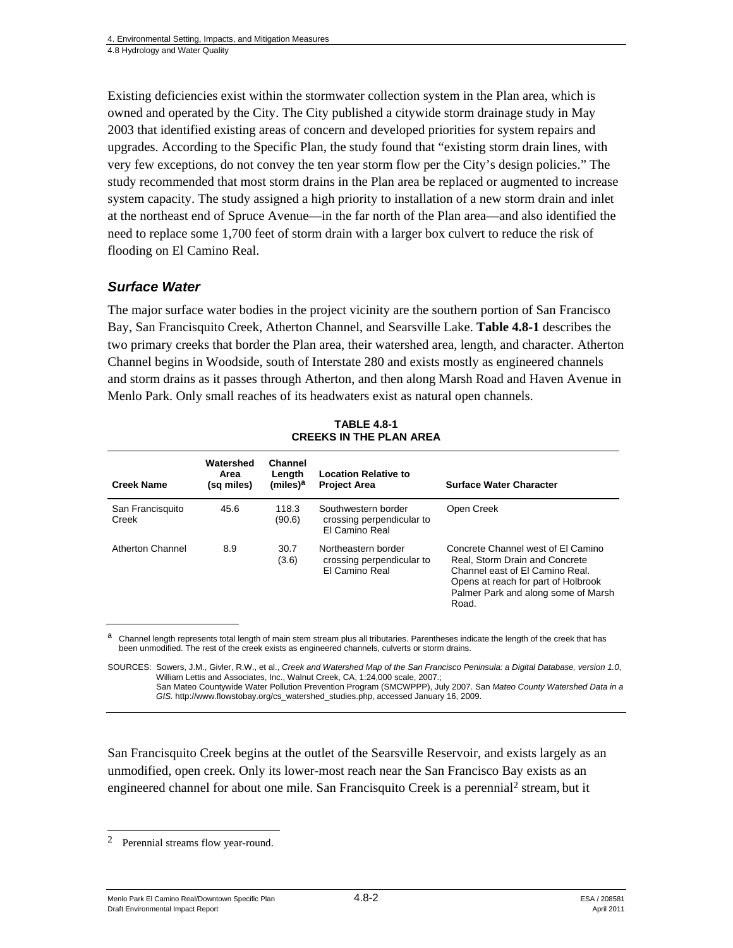Existing deficiencies exist within the stormwater collection system in the Plan area, which is owned and operated by the City. The City published a citywide storm drainage study in May 2003 that identified existing areas of concern and developed priorities for system repairs and upgrades. According to the Specific Plan, the study found that "existing storm drain lines, with very few exceptions, do not convey the ten year storm flow per the City's design policies." The study recommended that most storm drains in the Plan area be replaced or augmented to increase system capacity. The study assigned a high priority to installation of a new storm drain and inlet at the northeast end of Spruce Avenue—in the far north of the Plan area—and also identified the need to replace some 1,700 feet of storm drain with a larger box culvert to reduce the risk of flooding on El Camino Real.

#### *Surface Water*

The major surface water bodies in the project vicinity are the southern portion of San Francisco Bay, San Francisquito Creek, Atherton Channel, and Searsville Lake. **Table 4.8-1** describes the two primary creeks that border the Plan area, their watershed area, length, and character. Atherton Channel begins in Woodside, south of Interstate 280 and exists mostly as engineered channels and storm drains as it passes through Atherton, and then along Marsh Road and Haven Avenue in Menlo Park. Only small reaches of its headwaters exist as natural open channels.

| <b>Creek Name</b>         | Watershed<br>Area<br>(sq miles) | Channel<br>Length<br>(miles) <sup>a</sup> | <b>Location Relative to</b><br><b>Project Area</b>                        | <b>Surface Water Character</b>                                                                                                                                                                 |
|---------------------------|---------------------------------|-------------------------------------------|---------------------------------------------------------------------------|------------------------------------------------------------------------------------------------------------------------------------------------------------------------------------------------|
|                           |                                 |                                           |                                                                           |                                                                                                                                                                                                |
| San Francisquito<br>Creek | 45.6                            | 118.3<br>(90.6)                           | Southwestern border<br>crossing perpendicular to<br><b>FI Camino Real</b> | Open Creek                                                                                                                                                                                     |
| <b>Atherton Channel</b>   | 8.9                             | 30.7<br>(3.6)                             | Northeastern border<br>crossing perpendicular to<br><b>FI Camino Real</b> | Concrete Channel west of FI Camino<br>Real. Storm Drain and Concrete<br>Channel east of El Camino Real.<br>Opens at reach for part of Holbrook<br>Palmer Park and along some of Marsh<br>Road. |

**TABLE 4.8-1 CREEKS IN THE PLAN AREA** 

a Channel length represents total length of main stem stream plus all tributaries. Parentheses indicate the length of the creek that has been unmodified. The rest of the creek exists as engineered channels, culverts or storm drains.

SOURCES: Sowers, J.M., Givler, R.W., et al., *Creek and Watershed Map of the San Francisco Peninsula: a Digital Database, version 1.0*, William Lettis and Associates, Inc., Walnut Creek, CA, 1:24,000 scale, 2007.; San Mateo Countywide Water Pollution Prevention Program (SMCWPPP), July 2007. San *Mateo County Watershed Data in a GIS.* http://www.flowstobay.org/cs\_watershed\_studies.php, accessed January 16, 2009.

San Francisquito Creek begins at the outlet of the Searsville Reservoir, and exists largely as an unmodified, open creek. Only its lower-most reach near the San Francisco Bay exists as an engineered channel for about one mile. San Francisquito Creek is a perennial<sup>2</sup> stream, but it

 $\mathfrak{D}$ Perennial streams flow year-round.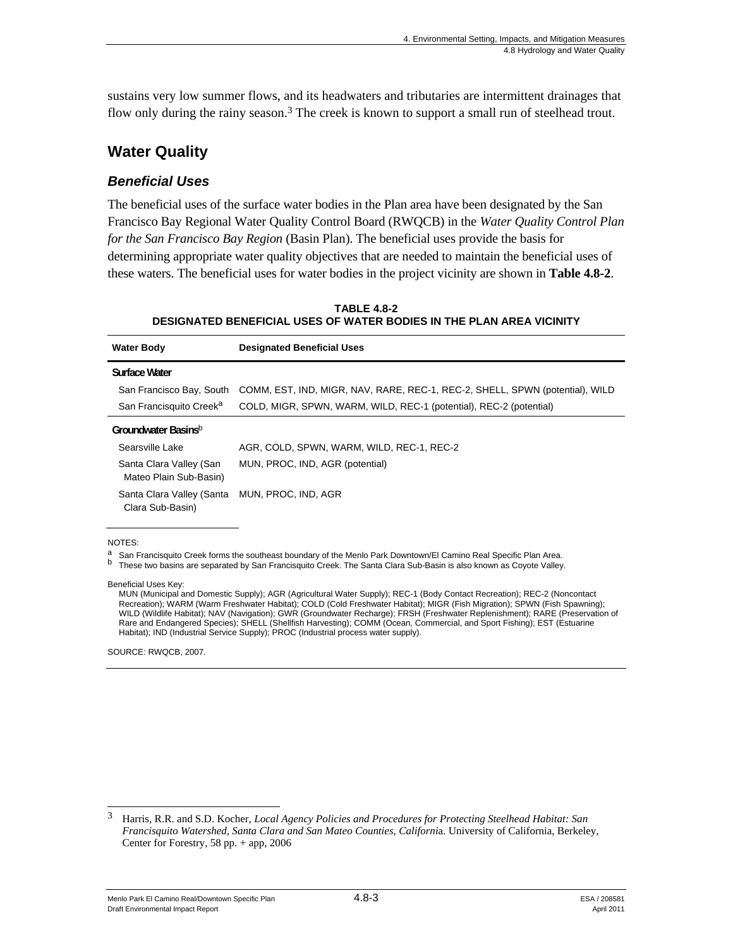sustains very low summer flows, and its headwaters and tributaries are intermittent drainages that flow only during the rainy season.<sup>3</sup> The creek is known to support a small run of steelhead trout.

### **Water Quality**

#### *Beneficial Uses*

The beneficial uses of the surface water bodies in the Plan area have been designated by the San Francisco Bay Regional Water Quality Control Board (RWQCB) in the *Water Quality Control Plan for the San Francisco Bay Region* (Basin Plan). The beneficial uses provide the basis for determining appropriate water quality objectives that are needed to maintain the beneficial uses of these waters. The beneficial uses for water bodies in the project vicinity are shown in **Table 4.8-2**.

| DESIGNATED DENEI IVIAE VSES VII WATEN DODIES IN THE FEAN ANEA VIVINITT |                                                                              |  |  |  |
|------------------------------------------------------------------------|------------------------------------------------------------------------------|--|--|--|
| <b>Water Body</b>                                                      | <b>Designated Beneficial Uses</b>                                            |  |  |  |
| Surface Water                                                          |                                                                              |  |  |  |
| San Francisco Bay, South                                               | COMM, EST, IND, MIGR, NAV, RARE, REC-1, REC-2, SHELL, SPWN (potential), WILD |  |  |  |
| San Francisquito Creek <sup>a</sup>                                    | COLD, MIGR, SPWN, WARM, WILD, REC-1 (potential), REC-2 (potential)           |  |  |  |
| Groundwater Basins <sup>b</sup>                                        |                                                                              |  |  |  |
| Searsville Lake                                                        | AGR, COLD, SPWN, WARM, WILD, REC-1, REC-2                                    |  |  |  |
| Santa Clara Valley (San<br>Mateo Plain Sub-Basin)                      | MUN, PROC, IND, AGR (potential)                                              |  |  |  |
| Santa Clara Valley (Santa<br>Clara Sub-Basin)                          | MUN, PROC, IND, AGR                                                          |  |  |  |

#### **TABLE 4.8-2 DESIGNATED BENEFICIAL USES OF WATER BODIES IN THE PLAN AREA VICINITY**

#### NOTES:

a San Francisquito Creek forms the southeast boundary of the Menlo Park Downtown/El Camino Real Specific Plan Area.<br>b These two basins are separated by San Francisquito Creek. The Santa Clara Sub-Basin is also known as Coy

Beneficial Uses Key:

MUN (Municipal and Domestic Supply); AGR (Agricultural Water Supply); REC-1 (Body Contact Recreation); REC-2 (Noncontact Recreation); WARM (Warm Freshwater Habitat); COLD (Cold Freshwater Habitat); MIGR (Fish Migration); SPWN (Fish Spawning); WILD (Wildlife Habitat); NAV (Navigation); GWR (Groundwater Recharge); FRSH (Freshwater Replenishment); RARE (Preservation of Rare and Endangered Species); SHELL (Shellfish Harvesting); COMM (Ocean, Commercial, and Sport Fishing); EST (Estuarine Habitat); IND (Industrial Service Supply); PROC (Industrial process water supply).

SOURCE: RWQCB, 2007.

<sup>3</sup> 3 Harris, R.R. and S.D. Kocher, *Local Agency Policies and Procedures for Protecting Steelhead Habitat: San Francisquito Watershed, Santa Clara and San Mateo Counties, Californi*a. University of California, Berkeley, Center for Forestry, 58 pp. + app, 2006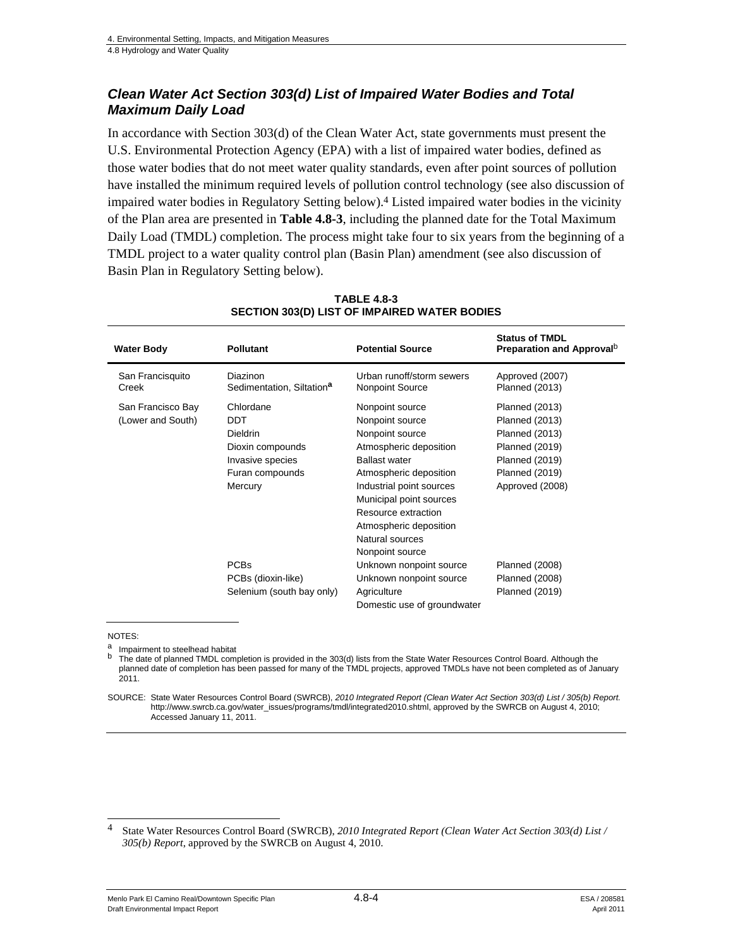#### *Clean Water Act Section 303(d) List of Impaired Water Bodies and Total Maximum Daily Load*

In accordance with Section 303(d) of the Clean Water Act, state governments must present the U.S. Environmental Protection Agency (EPA) with a list of impaired water bodies, defined as those water bodies that do not meet water quality standards, even after point sources of pollution have installed the minimum required levels of pollution control technology (see also discussion of impaired water bodies in Regulatory Setting below).4 Listed impaired water bodies in the vicinity of the Plan area are presented in **Table 4.8-3**, including the planned date for the Total Maximum Daily Load (TMDL) completion. The process might take four to six years from the beginning of a TMDL project to a water quality control plan (Basin Plan) amendment (see also discussion of Basin Plan in Regulatory Setting below).

| <b>Water Body</b>                      | <b>Pollutant</b>                                                                                                 | <b>Potential Source</b>                                                                                                                                                                                                                                                         | <b>Status of TMDL</b><br>Preparation and Approval <sup>D</sup>                                                                                                        |
|----------------------------------------|------------------------------------------------------------------------------------------------------------------|---------------------------------------------------------------------------------------------------------------------------------------------------------------------------------------------------------------------------------------------------------------------------------|-----------------------------------------------------------------------------------------------------------------------------------------------------------------------|
| San Francisquito<br>Creek              | <b>Diazinon</b><br>Sedimentation, Siltation <sup>a</sup>                                                         | Urban runoff/storm sewers<br>Nonpoint Source                                                                                                                                                                                                                                    | Approved (2007)<br><b>Planned (2013)</b>                                                                                                                              |
| San Francisco Bay<br>(Lower and South) | Chlordane<br><b>DDT</b><br><b>Dieldrin</b><br>Dioxin compounds<br>Invasive species<br>Furan compounds<br>Mercury | Nonpoint source<br>Nonpoint source<br>Nonpoint source<br>Atmospheric deposition<br><b>Ballast water</b><br>Atmospheric deposition<br>Industrial point sources<br>Municipal point sources<br>Resource extraction<br>Atmospheric deposition<br>Natural sources<br>Nonpoint source | <b>Planned (2013)</b><br><b>Planned (2013)</b><br><b>Planned (2013)</b><br><b>Planned (2019)</b><br><b>Planned (2019)</b><br><b>Planned (2019)</b><br>Approved (2008) |
|                                        | <b>PCBs</b><br>PCBs (dioxin-like)<br>Selenium (south bay only)                                                   | Unknown nonpoint source<br>Unknown nonpoint source<br>Agriculture<br>Domestic use of groundwater                                                                                                                                                                                | <b>Planned (2008)</b><br><b>Planned (2008)</b><br><b>Planned (2019)</b>                                                                                               |

#### **TABLE 4.8-3 SECTION 303(D) LIST OF IMPAIRED WATER BODIES**

NOTES:

l

a Impairment to steelhead habitat  $\frac{b}{b}$ . The data of planned TADL comp

The date of planned TMDL completion is provided in the 303(d) lists from the State Water Resources Control Board. Although the planned date of completion has been passed for many of the TMDL projects, approved TMDLs have not been completed as of January 2011.

Menlo Park El Camino Real/Downtown Specific Plan  $4.8-4$   $4.8-4$ Draft Environmental Impact Report April 2011

SOURCE: State Water Resources Control Board (SWRCB), *2010 Integrated Report (Clean Water Act Section 303(d) List / 305(b) Report.* http://www.swrcb.ca.gov/water\_issues/programs/tmdl/integrated2010.shtml, approved by the SWRCB on August 4, 2010; Accessed January 11, 2011.

<sup>4</sup> State Water Resources Control Board (SWRCB), *2010 Integrated Report (Clean Water Act Section 303(d) List / 305(b) Report*, approved by the SWRCB on August 4, 2010.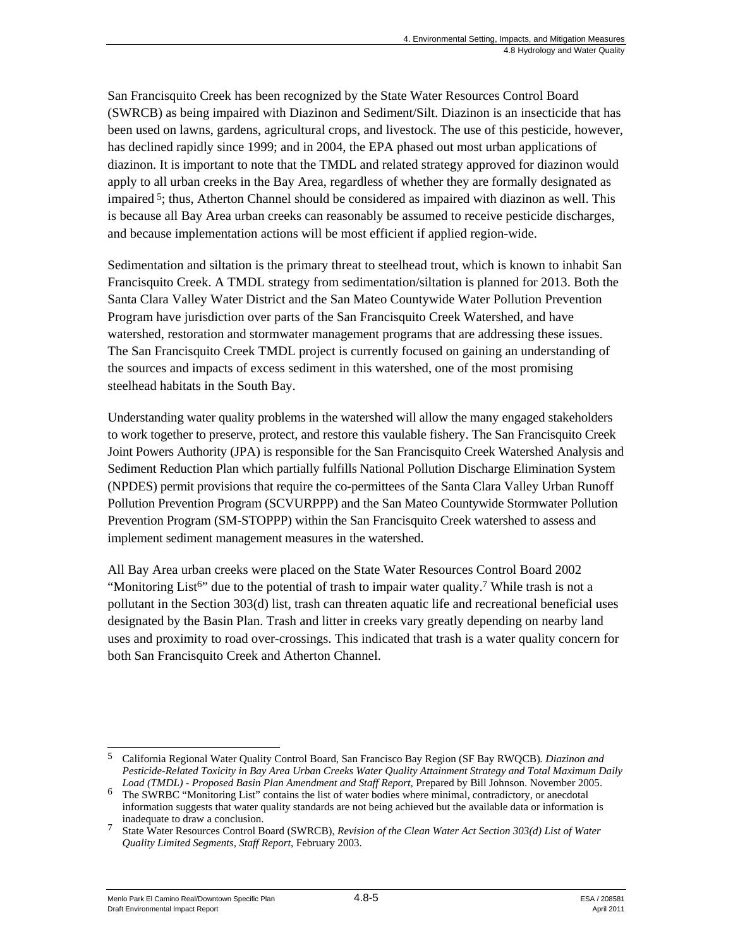San Francisquito Creek has been recognized by the State Water Resources Control Board (SWRCB) as being impaired with Diazinon and Sediment/Silt. Diazinon is an insecticide that has been used on lawns, gardens, agricultural crops, and livestock. The use of this pesticide, however, has declined rapidly since 1999; and in 2004, the EPA phased out most urban applications of diazinon. It is important to note that the TMDL and related strategy approved for diazinon would apply to all urban creeks in the Bay Area, regardless of whether they are formally designated as impaired  $5$ ; thus, Atherton Channel should be considered as impaired with diazinon as well. This is because all Bay Area urban creeks can reasonably be assumed to receive pesticide discharges, and because implementation actions will be most efficient if applied region-wide.

Sedimentation and siltation is the primary threat to steelhead trout, which is known to inhabit San Francisquito Creek. A TMDL strategy from sedimentation/siltation is planned for 2013. Both the Santa Clara Valley Water District and the San Mateo Countywide Water Pollution Prevention Program have jurisdiction over parts of the San Francisquito Creek Watershed, and have watershed, restoration and stormwater management programs that are addressing these issues. The San Francisquito Creek TMDL project is currently focused on gaining an understanding of the sources and impacts of excess sediment in this watershed, one of the most promising steelhead habitats in the South Bay.

Understanding water quality problems in the watershed will allow the many engaged stakeholders to work together to preserve, protect, and restore this vaulable fishery. The San Francisquito Creek Joint Powers Authority (JPA) is responsible for the San Francisquito Creek Watershed Analysis and Sediment Reduction Plan which partially fulfills National Pollution Discharge Elimination System (NPDES) permit provisions that require the co-permittees of the Santa Clara Valley Urban Runoff Pollution Prevention Program (SCVURPPP) and the San Mateo Countywide Stormwater Pollution Prevention Program (SM-STOPPP) within the San Francisquito Creek watershed to assess and implement sediment management measures in the watershed.

All Bay Area urban creeks were placed on the State Water Resources Control Board 2002 "Monitoring List<sup>6"</sup> due to the potential of trash to impair water quality.<sup>7</sup> While trash is not a pollutant in the Section 303(d) list, trash can threaten aquatic life and recreational beneficial uses designated by the Basin Plan. Trash and litter in creeks vary greatly depending on nearby land uses and proximity to road over-crossings. This indicated that trash is a water quality concern for both San Francisquito Creek and Atherton Channel.

l 5 California Regional Water Quality Control Board, San Francisco Bay Region (SF Bay RWQCB)*. Diazinon and Pesticide-Related Toxicity in Bay Area Urban Creeks Water Quality Attainment Strategy and Total Maximum Daily* 

<sup>&</sup>lt;sup>6</sup> The SWRBC "Monitoring List" contains the list of water bodies where minimal, contradictory, or anecdotal information suggests that water quality standards are not being achieved but the available data or information is

<sup>&</sup>lt;sup>7</sup> State Water Resources Control Board (SWRCB), *Revision of the Clean Water Act Section 303(d) List of Water Quality Limited Segments, Staff Report*, February 2003.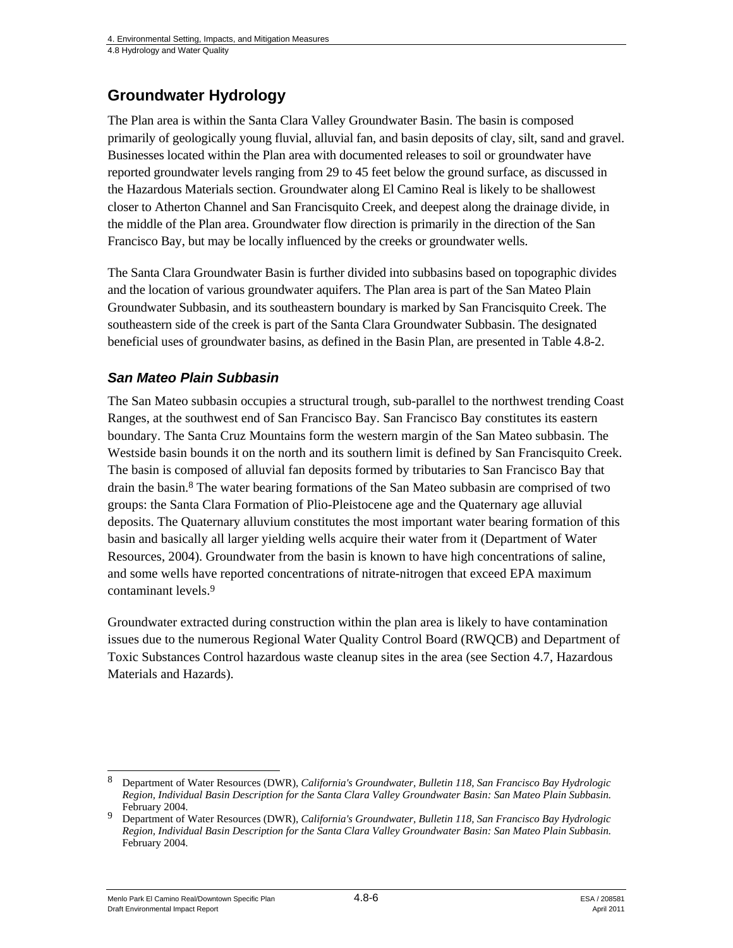### **Groundwater Hydrology**

The Plan area is within the Santa Clara Valley Groundwater Basin. The basin is composed primarily of geologically young fluvial, alluvial fan, and basin deposits of clay, silt, sand and gravel. Businesses located within the Plan area with documented releases to soil or groundwater have reported groundwater levels ranging from 29 to 45 feet below the ground surface, as discussed in the Hazardous Materials section. Groundwater along El Camino Real is likely to be shallowest closer to Atherton Channel and San Francisquito Creek, and deepest along the drainage divide, in the middle of the Plan area. Groundwater flow direction is primarily in the direction of the San Francisco Bay, but may be locally influenced by the creeks or groundwater wells.

The Santa Clara Groundwater Basin is further divided into subbasins based on topographic divides and the location of various groundwater aquifers. The Plan area is part of the San Mateo Plain Groundwater Subbasin, and its southeastern boundary is marked by San Francisquito Creek. The southeastern side of the creek is part of the Santa Clara Groundwater Subbasin. The designated beneficial uses of groundwater basins, as defined in the Basin Plan, are presented in Table 4.8-2.

### *San Mateo Plain Subbasin*

The San Mateo subbasin occupies a structural trough, sub-parallel to the northwest trending Coast Ranges, at the southwest end of San Francisco Bay. San Francisco Bay constitutes its eastern boundary. The Santa Cruz Mountains form the western margin of the San Mateo subbasin. The Westside basin bounds it on the north and its southern limit is defined by San Francisquito Creek. The basin is composed of alluvial fan deposits formed by tributaries to San Francisco Bay that drain the basin.8 The water bearing formations of the San Mateo subbasin are comprised of two groups: the Santa Clara Formation of Plio-Pleistocene age and the Quaternary age alluvial deposits. The Quaternary alluvium constitutes the most important water bearing formation of this basin and basically all larger yielding wells acquire their water from it (Department of Water Resources, 2004). Groundwater from the basin is known to have high concentrations of saline, and some wells have reported concentrations of nitrate-nitrogen that exceed EPA maximum contaminant levels.9

Groundwater extracted during construction within the plan area is likely to have contamination issues due to the numerous Regional Water Quality Control Board (RWQCB) and Department of Toxic Substances Control hazardous waste cleanup sites in the area (see Section 4.7, Hazardous Materials and Hazards).

 $\overline{\phantom{a}}$ 8 Department of Water Resources (DWR), *California's Groundwater, Bulletin 118, San Francisco Bay Hydrologic Region, Individual Basin Description for the Santa Clara Valley Groundwater Basin: San Mateo Plain Subbasin.* 

February 2004. 9 Department of Water Resources (DWR), *California's Groundwater, Bulletin 118, San Francisco Bay Hydrologic Region, Individual Basin Description for the Santa Clara Valley Groundwater Basin: San Mateo Plain Subbasin.*  February 2004.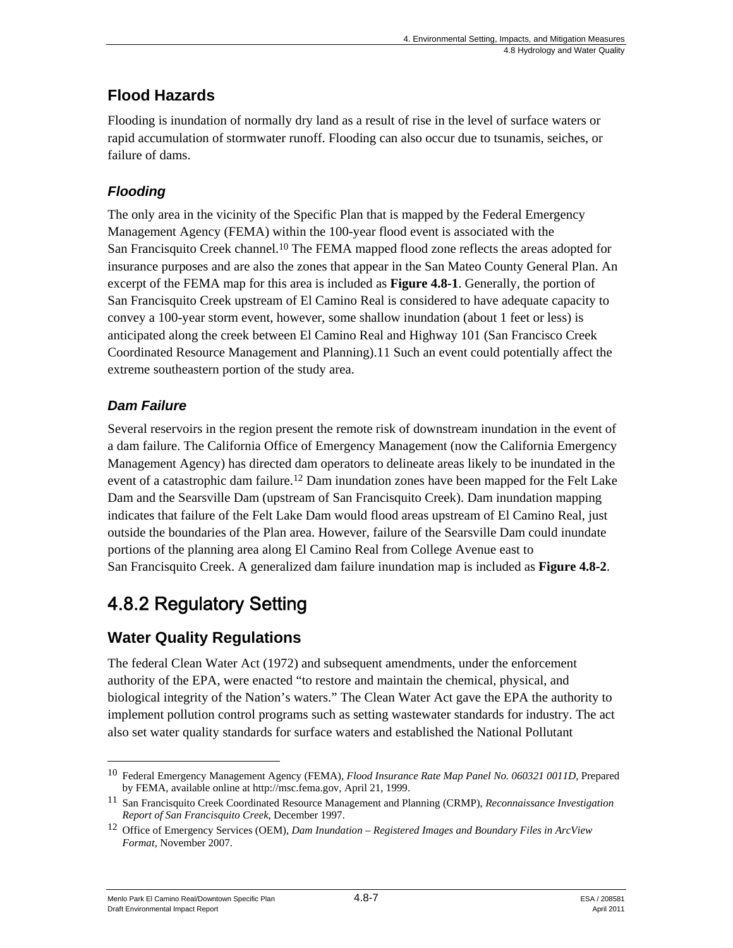## **Flood Hazards**

Flooding is inundation of normally dry land as a result of rise in the level of surface waters or rapid accumulation of stormwater runoff. Flooding can also occur due to tsunamis, seiches, or failure of dams.

### *Flooding*

The only area in the vicinity of the Specific Plan that is mapped by the Federal Emergency Management Agency (FEMA) within the 100-year flood event is associated with the San Francisquito Creek channel.10 The FEMA mapped flood zone reflects the areas adopted for insurance purposes and are also the zones that appear in the San Mateo County General Plan. An excerpt of the FEMA map for this area is included as **Figure 4.8-1**. Generally, the portion of San Francisquito Creek upstream of El Camino Real is considered to have adequate capacity to convey a 100-year storm event, however, some shallow inundation (about 1 feet or less) is anticipated along the creek between El Camino Real and Highway 101 (San Francisco Creek Coordinated Resource Management and Planning).11 Such an event could potentially affect the extreme southeastern portion of the study area.

### *Dam Failure*

Several reservoirs in the region present the remote risk of downstream inundation in the event of a dam failure. The California Office of Emergency Management (now the California Emergency Management Agency) has directed dam operators to delineate areas likely to be inundated in the event of a catastrophic dam failure.<sup>12</sup> Dam inundation zones have been mapped for the Felt Lake Dam and the Searsville Dam (upstream of San Francisquito Creek). Dam inundation mapping indicates that failure of the Felt Lake Dam would flood areas upstream of El Camino Real, just outside the boundaries of the Plan area. However, failure of the Searsville Dam could inundate portions of the planning area along El Camino Real from College Avenue east to San Francisquito Creek. A generalized dam failure inundation map is included as **Figure 4.8-2**.

# 4.8.2 Regulatory Setting

## **Water Quality Regulations**

The federal Clean Water Act (1972) and subsequent amendments, under the enforcement authority of the EPA, were enacted "to restore and maintain the chemical, physical, and biological integrity of the Nation's waters." The Clean Water Act gave the EPA the authority to implement pollution control programs such as setting wastewater standards for industry. The act also set water quality standards for surface waters and established the National Pollutant

 $\overline{\phantom{a}}$ 

<sup>10</sup> Federal Emergency Management Agency (FEMA), *Flood Insurance Rate Map Panel No. 060321 0011D*, Prepared by FEMA, available online at http://msc.fema.gov, April 21, 1999.<br><sup>11</sup> San Francisquito Creek Coordinated Resource Management and Planning (CRMP), *Reconnaissance Investigation* 

*Report of San Francisquito Creek*, December 1997.

<sup>12</sup> Office of Emergency Services (OEM), *Dam Inundation – Registered Images and Boundary Files in ArcView Format*, November 2007.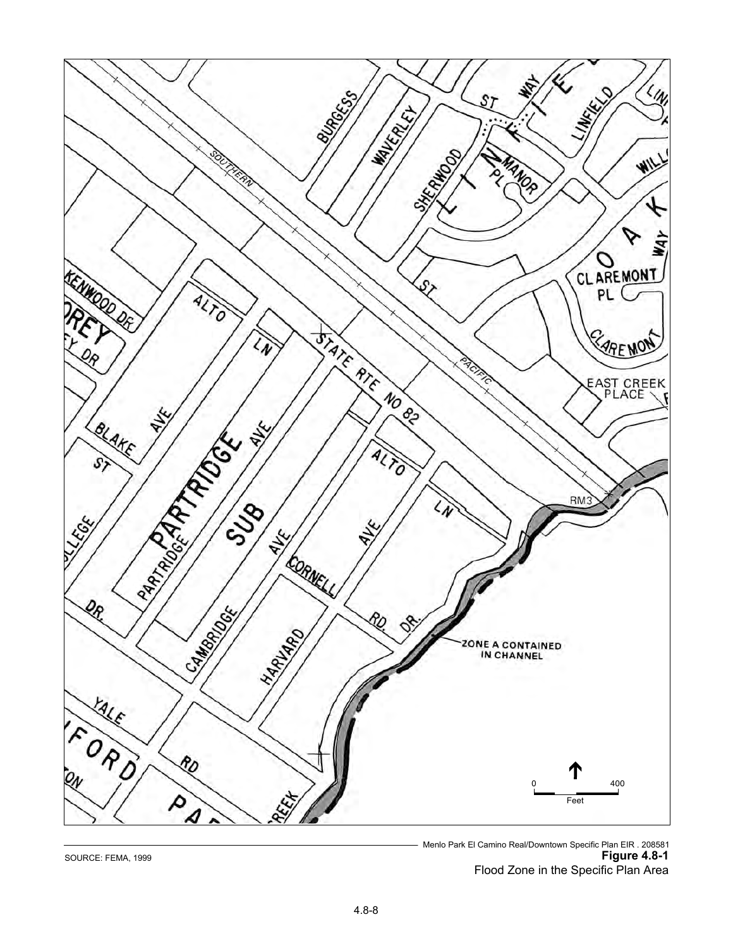

Menlo Park El Camino Real/Downtown Specific Plan EIR . 208581 SOURCE: FEMA, 1999 **Figure 4.8-1** Flood Zone in the Specific Plan Area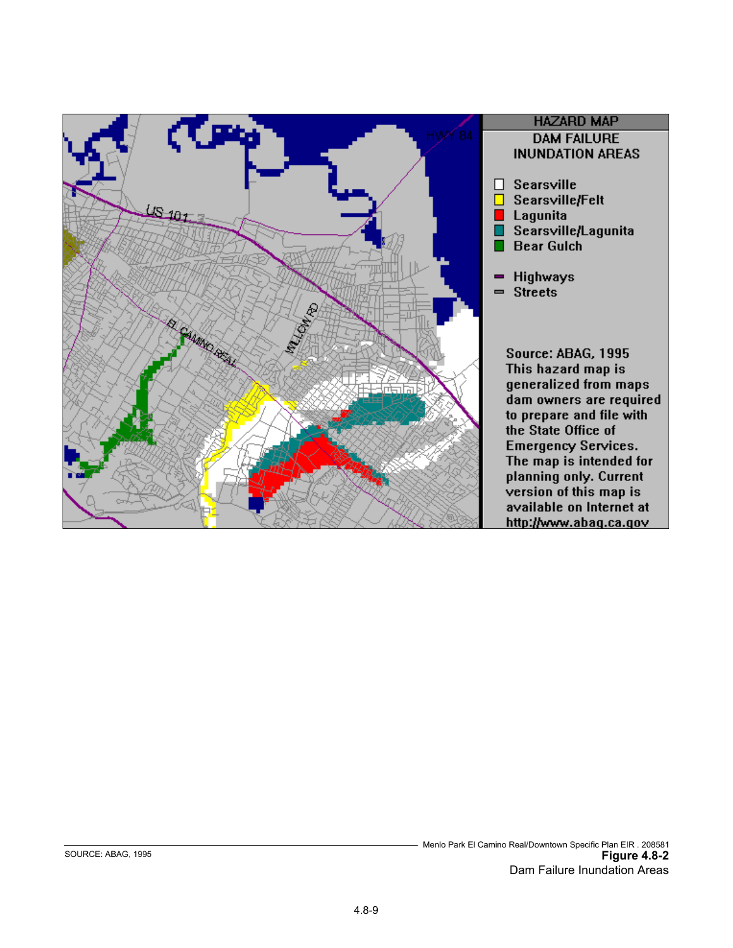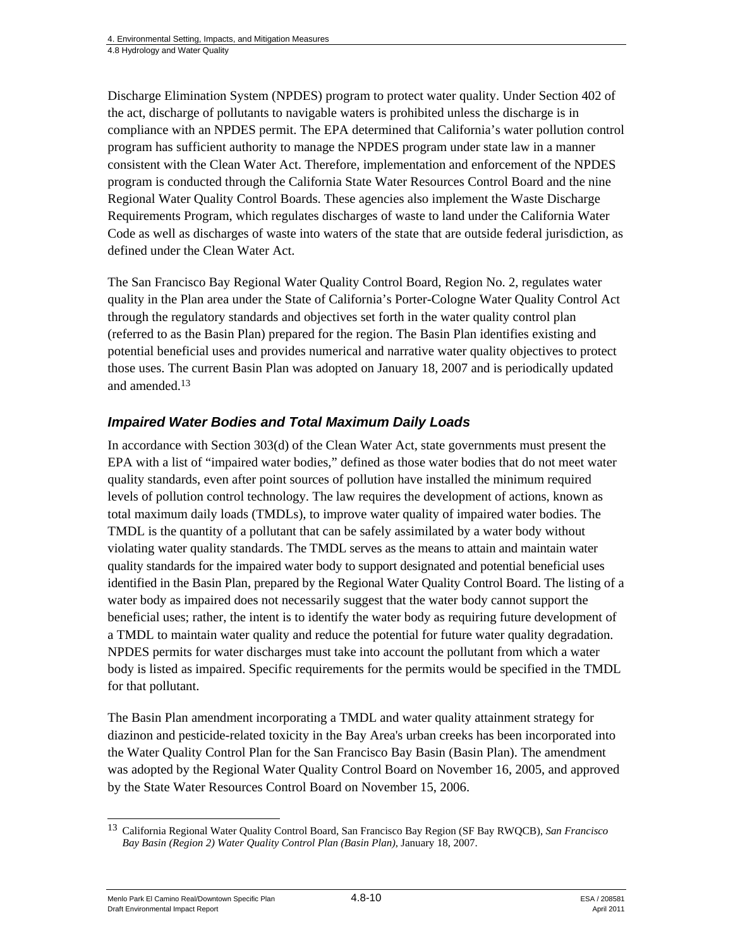Discharge Elimination System (NPDES) program to protect water quality. Under Section 402 of the act, discharge of pollutants to navigable waters is prohibited unless the discharge is in compliance with an NPDES permit. The EPA determined that California's water pollution control program has sufficient authority to manage the NPDES program under state law in a manner consistent with the Clean Water Act. Therefore, implementation and enforcement of the NPDES program is conducted through the California State Water Resources Control Board and the nine Regional Water Quality Control Boards. These agencies also implement the Waste Discharge Requirements Program, which regulates discharges of waste to land under the California Water Code as well as discharges of waste into waters of the state that are outside federal jurisdiction, as defined under the Clean Water Act.

The San Francisco Bay Regional Water Quality Control Board, Region No. 2, regulates water quality in the Plan area under the State of California's Porter-Cologne Water Quality Control Act through the regulatory standards and objectives set forth in the water quality control plan (referred to as the Basin Plan) prepared for the region. The Basin Plan identifies existing and potential beneficial uses and provides numerical and narrative water quality objectives to protect those uses. The current Basin Plan was adopted on January 18, 2007 and is periodically updated and amended.13

### *Impaired Water Bodies and Total Maximum Daily Loads*

In accordance with Section 303(d) of the Clean Water Act, state governments must present the EPA with a list of "impaired water bodies," defined as those water bodies that do not meet water quality standards, even after point sources of pollution have installed the minimum required levels of pollution control technology. The law requires the development of actions, known as total maximum daily loads (TMDLs), to improve water quality of impaired water bodies. The TMDL is the quantity of a pollutant that can be safely assimilated by a water body without violating water quality standards. The TMDL serves as the means to attain and maintain water quality standards for the impaired water body to support designated and potential beneficial uses identified in the Basin Plan, prepared by the Regional Water Quality Control Board. The listing of a water body as impaired does not necessarily suggest that the water body cannot support the beneficial uses; rather, the intent is to identify the water body as requiring future development of a TMDL to maintain water quality and reduce the potential for future water quality degradation. NPDES permits for water discharges must take into account the pollutant from which a water body is listed as impaired. Specific requirements for the permits would be specified in the TMDL for that pollutant.

The Basin Plan amendment incorporating a TMDL and water quality attainment strategy for diazinon and pesticide-related toxicity in the Bay Area's urban creeks has been incorporated into the Water Quality Control Plan for the San Francisco Bay Basin (Basin Plan). The amendment was adopted by the Regional Water Quality Control Board on November 16, 2005, and approved by the State Water Resources Control Board on November 15, 2006.

Menlo Park El Camino Real/Downtown Specific Plan  $4.8-10$  Algunda 208581 Draft Environmental Impact Report April 2011

<sup>1</sup> 13 California Regional Water Quality Control Board, San Francisco Bay Region (SF Bay RWQCB), *San Francisco Bay Basin (Region 2) Water Quality Control Plan (Basin Plan)*, January 18, 2007.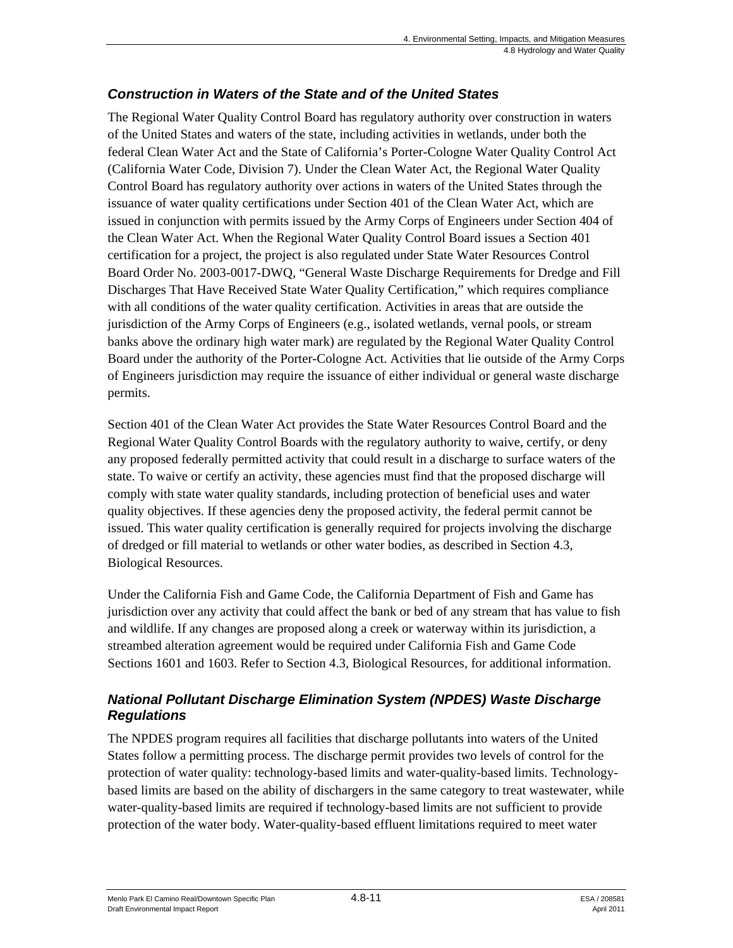### *Construction in Waters of the State and of the United States*

The Regional Water Quality Control Board has regulatory authority over construction in waters of the United States and waters of the state, including activities in wetlands, under both the federal Clean Water Act and the State of California's Porter-Cologne Water Quality Control Act (California Water Code, Division 7). Under the Clean Water Act, the Regional Water Quality Control Board has regulatory authority over actions in waters of the United States through the issuance of water quality certifications under Section 401 of the Clean Water Act, which are issued in conjunction with permits issued by the Army Corps of Engineers under Section 404 of the Clean Water Act. When the Regional Water Quality Control Board issues a Section 401 certification for a project, the project is also regulated under State Water Resources Control Board Order No. 2003-0017-DWQ, "General Waste Discharge Requirements for Dredge and Fill Discharges That Have Received State Water Quality Certification," which requires compliance with all conditions of the water quality certification. Activities in areas that are outside the jurisdiction of the Army Corps of Engineers (e.g., isolated wetlands, vernal pools, or stream banks above the ordinary high water mark) are regulated by the Regional Water Quality Control Board under the authority of the Porter-Cologne Act. Activities that lie outside of the Army Corps of Engineers jurisdiction may require the issuance of either individual or general waste discharge permits.

Section 401 of the Clean Water Act provides the State Water Resources Control Board and the Regional Water Quality Control Boards with the regulatory authority to waive, certify, or deny any proposed federally permitted activity that could result in a discharge to surface waters of the state. To waive or certify an activity, these agencies must find that the proposed discharge will comply with state water quality standards, including protection of beneficial uses and water quality objectives. If these agencies deny the proposed activity, the federal permit cannot be issued. This water quality certification is generally required for projects involving the discharge of dredged or fill material to wetlands or other water bodies, as described in Section 4.3, Biological Resources.

Under the California Fish and Game Code, the California Department of Fish and Game has jurisdiction over any activity that could affect the bank or bed of any stream that has value to fish and wildlife. If any changes are proposed along a creek or waterway within its jurisdiction, a streambed alteration agreement would be required under California Fish and Game Code Sections 1601 and 1603. Refer to Section 4.3, Biological Resources, for additional information.

### *National Pollutant Discharge Elimination System (NPDES) Waste Discharge Regulations*

The NPDES program requires all facilities that discharge pollutants into waters of the United States follow a permitting process. The discharge permit provides two levels of control for the protection of water quality: technology-based limits and water-quality-based limits. Technologybased limits are based on the ability of dischargers in the same category to treat wastewater, while water-quality-based limits are required if technology-based limits are not sufficient to provide protection of the water body. Water-quality-based effluent limitations required to meet water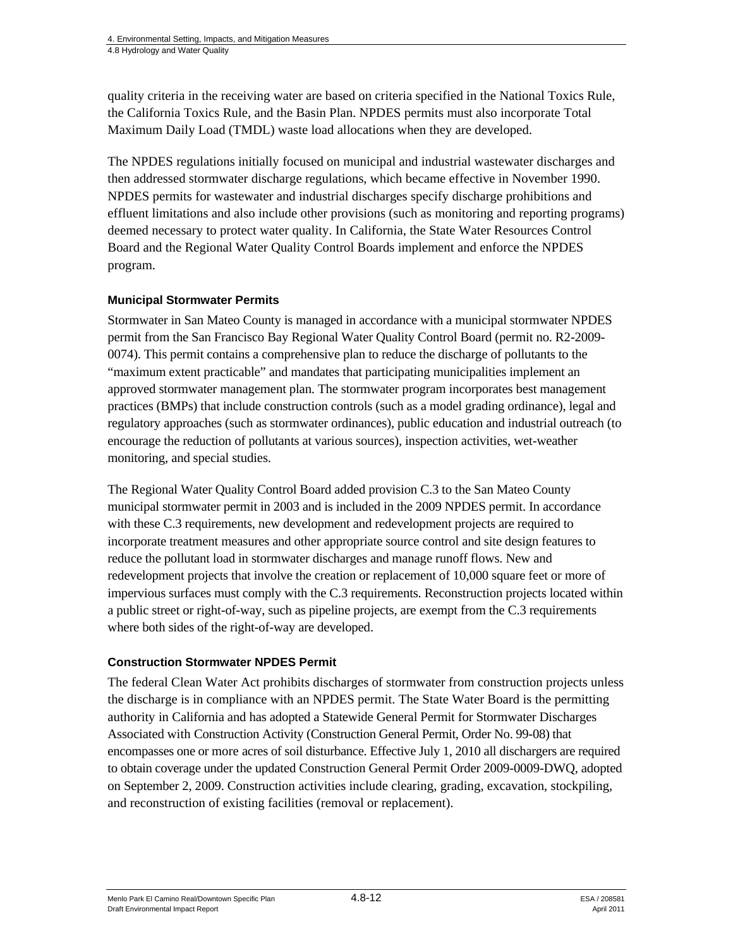quality criteria in the receiving water are based on criteria specified in the National Toxics Rule, the California Toxics Rule, and the Basin Plan. NPDES permits must also incorporate Total Maximum Daily Load (TMDL) waste load allocations when they are developed.

The NPDES regulations initially focused on municipal and industrial wastewater discharges and then addressed stormwater discharge regulations, which became effective in November 1990. NPDES permits for wastewater and industrial discharges specify discharge prohibitions and effluent limitations and also include other provisions (such as monitoring and reporting programs) deemed necessary to protect water quality. In California, the State Water Resources Control Board and the Regional Water Quality Control Boards implement and enforce the NPDES program.

#### **Municipal Stormwater Permits**

Stormwater in San Mateo County is managed in accordance with a municipal stormwater NPDES permit from the San Francisco Bay Regional Water Quality Control Board (permit no. R2-2009- 0074). This permit contains a comprehensive plan to reduce the discharge of pollutants to the "maximum extent practicable" and mandates that participating municipalities implement an approved stormwater management plan. The stormwater program incorporates best management practices (BMPs) that include construction controls (such as a model grading ordinance), legal and regulatory approaches (such as stormwater ordinances), public education and industrial outreach (to encourage the reduction of pollutants at various sources), inspection activities, wet-weather monitoring, and special studies.

The Regional Water Quality Control Board added provision C.3 to the San Mateo County municipal stormwater permit in 2003 and is included in the 2009 NPDES permit. In accordance with these C.3 requirements, new development and redevelopment projects are required to incorporate treatment measures and other appropriate source control and site design features to reduce the pollutant load in stormwater discharges and manage runoff flows. New and redevelopment projects that involve the creation or replacement of 10,000 square feet or more of impervious surfaces must comply with the C.3 requirements. Reconstruction projects located within a public street or right-of-way, such as pipeline projects, are exempt from the C.3 requirements where both sides of the right-of-way are developed.

#### **Construction Stormwater NPDES Permit**

The federal Clean Water Act prohibits discharges of stormwater from construction projects unless the discharge is in compliance with an NPDES permit. The State Water Board is the permitting authority in California and has adopted a Statewide General Permit for Stormwater Discharges Associated with Construction Activity (Construction General Permit, Order No. 99-08) that encompasses one or more acres of soil disturbance. Effective July 1, 2010 all dischargers are required to obtain coverage under the updated Construction General Permit Order 2009-0009-DWQ, adopted on September 2, 2009. Construction activities include clearing, grading, excavation, stockpiling, and reconstruction of existing facilities (removal or replacement).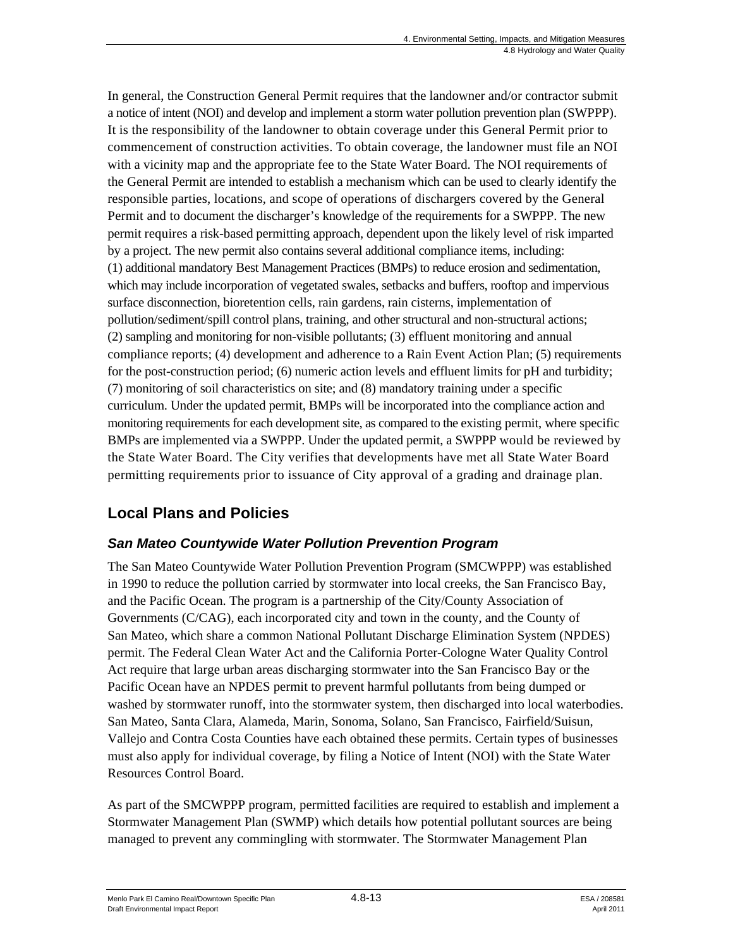In general, the Construction General Permit requires that the landowner and/or contractor submit a notice of intent (NOI) and develop and implement a storm water pollution prevention plan (SWPPP). It is the responsibility of the landowner to obtain coverage under this General Permit prior to commencement of construction activities. To obtain coverage, the landowner must file an NOI with a vicinity map and the appropriate fee to the State Water Board. The NOI requirements of the General Permit are intended to establish a mechanism which can be used to clearly identify the responsible parties, locations, and scope of operations of dischargers covered by the General Permit and to document the discharger's knowledge of the requirements for a SWPPP. The new permit requires a risk-based permitting approach, dependent upon the likely level of risk imparted by a project. The new permit also contains several additional compliance items, including: (1) additional mandatory Best Management Practices (BMPs) to reduce erosion and sedimentation, which may include incorporation of vegetated swales, setbacks and buffers, rooftop and impervious surface disconnection, bioretention cells, rain gardens, rain cisterns, implementation of pollution/sediment/spill control plans, training, and other structural and non-structural actions; (2) sampling and monitoring for non-visible pollutants; (3) effluent monitoring and annual compliance reports; (4) development and adherence to a Rain Event Action Plan; (5) requirements for the post-construction period; (6) numeric action levels and effluent limits for pH and turbidity; (7) monitoring of soil characteristics on site; and (8) mandatory training under a specific curriculum. Under the updated permit, BMPs will be incorporated into the compliance action and monitoring requirements for each development site, as compared to the existing permit, where specific BMPs are implemented via a SWPPP. Under the updated permit, a SWPPP would be reviewed by the State Water Board. The City verifies that developments have met all State Water Board permitting requirements prior to issuance of City approval of a grading and drainage plan.

## **Local Plans and Policies**

### *San Mateo Countywide Water Pollution Prevention Program*

The San Mateo Countywide Water Pollution Prevention Program (SMCWPPP) was established in 1990 to reduce the pollution carried by stormwater into local creeks, the San Francisco Bay, and the Pacific Ocean. The program is a partnership of the City/County Association of Governments (C/CAG), each incorporated city and town in the county, and the County of San Mateo, which share a common National Pollutant Discharge Elimination System (NPDES) permit. The Federal Clean Water Act and the California Porter-Cologne Water Quality Control Act require that large urban areas discharging stormwater into the San Francisco Bay or the Pacific Ocean have an NPDES permit to prevent harmful pollutants from being dumped or washed by stormwater runoff, into the stormwater system, then discharged into local waterbodies. San Mateo, Santa Clara, Alameda, Marin, Sonoma, Solano, San Francisco, Fairfield/Suisun, Vallejo and Contra Costa Counties have each obtained these permits. Certain types of businesses must also apply for individual coverage, by filing a Notice of Intent (NOI) with the State Water Resources Control Board.

As part of the SMCWPPP program, permitted facilities are required to establish and implement a Stormwater Management Plan (SWMP) which details how potential pollutant sources are being managed to prevent any commingling with stormwater. The Stormwater Management Plan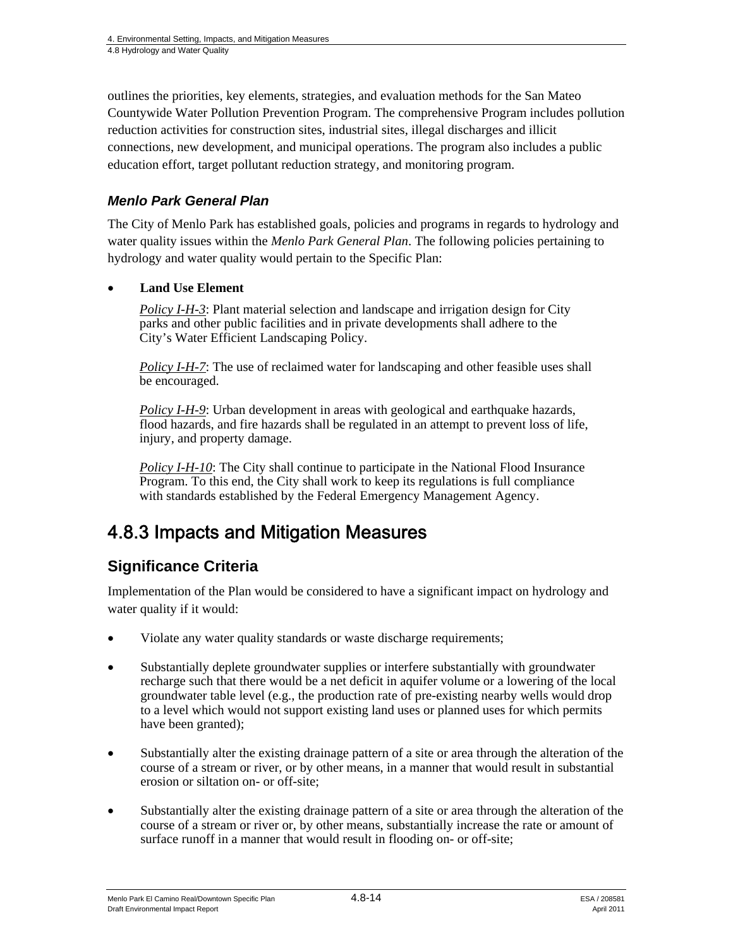outlines the priorities, key elements, strategies, and evaluation methods for the San Mateo Countywide Water Pollution Prevention Program. The comprehensive Program includes pollution reduction activities for construction sites, industrial sites, illegal discharges and illicit connections, new development, and municipal operations. The program also includes a public education effort, target pollutant reduction strategy, and monitoring program.

### *Menlo Park General Plan*

The City of Menlo Park has established goals, policies and programs in regards to hydrology and water quality issues within the *Menlo Park General Plan*. The following policies pertaining to hydrology and water quality would pertain to the Specific Plan:

#### **Land Use Element**

*Policy I-H-3*: Plant material selection and landscape and irrigation design for City parks and other public facilities and in private developments shall adhere to the City's Water Efficient Landscaping Policy.

*Policy I-H-7*: The use of reclaimed water for landscaping and other feasible uses shall be encouraged.

*Policy I-H-9*: Urban development in areas with geological and earthquake hazards, flood hazards, and fire hazards shall be regulated in an attempt to prevent loss of life, injury, and property damage.

*Policy I-H-10*: The City shall continue to participate in the National Flood Insurance Program. To this end, the City shall work to keep its regulations is full compliance with standards established by the Federal Emergency Management Agency.

# 4.8.3 Impacts and Mitigation Measures

### **Significance Criteria**

Implementation of the Plan would be considered to have a significant impact on hydrology and water quality if it would:

- Violate any water quality standards or waste discharge requirements;
- Substantially deplete groundwater supplies or interfere substantially with groundwater recharge such that there would be a net deficit in aquifer volume or a lowering of the local groundwater table level (e.g., the production rate of pre-existing nearby wells would drop to a level which would not support existing land uses or planned uses for which permits have been granted);
- Substantially alter the existing drainage pattern of a site or area through the alteration of the course of a stream or river, or by other means, in a manner that would result in substantial erosion or siltation on- or off-site;
- Substantially alter the existing drainage pattern of a site or area through the alteration of the course of a stream or river or, by other means, substantially increase the rate or amount of surface runoff in a manner that would result in flooding on- or off-site;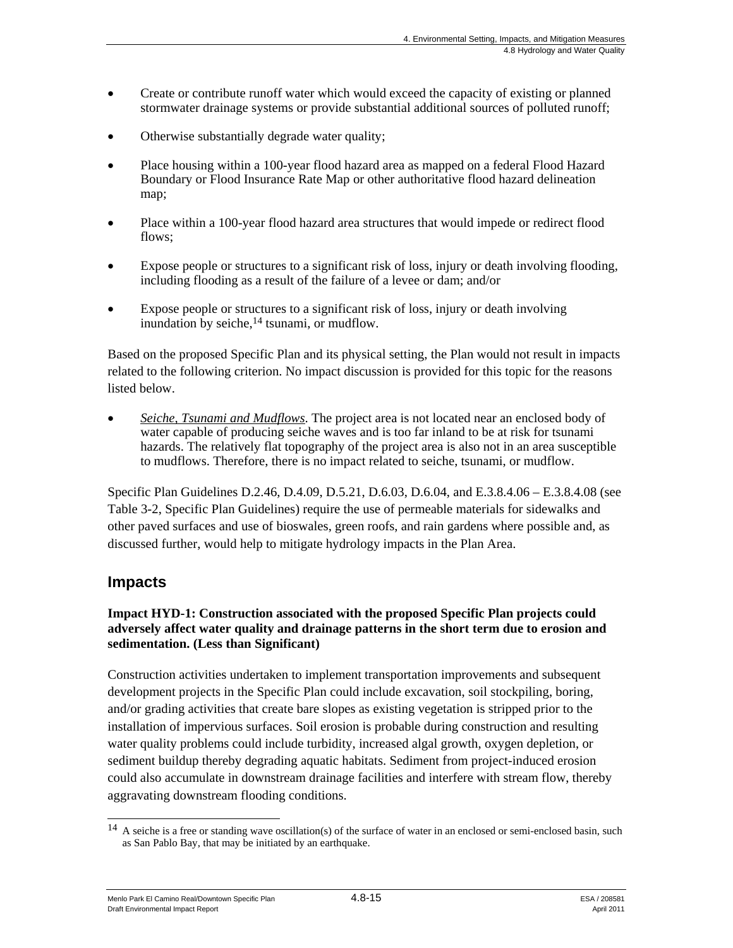- Create or contribute runoff water which would exceed the capacity of existing or planned stormwater drainage systems or provide substantial additional sources of polluted runoff;
- Otherwise substantially degrade water quality;
- Place housing within a 100-year flood hazard area as mapped on a federal Flood Hazard Boundary or Flood Insurance Rate Map or other authoritative flood hazard delineation map;
- Place within a 100-year flood hazard area structures that would impede or redirect flood flows;
- Expose people or structures to a significant risk of loss, injury or death involving flooding, including flooding as a result of the failure of a levee or dam; and/or
- Expose people or structures to a significant risk of loss, injury or death involving inundation by seiche,<sup>14</sup> tsunami, or mudflow.

Based on the proposed Specific Plan and its physical setting, the Plan would not result in impacts related to the following criterion. No impact discussion is provided for this topic for the reasons listed below.

 *Seiche, Tsunami and Mudflows*. The project area is not located near an enclosed body of water capable of producing seiche waves and is too far inland to be at risk for tsunami hazards. The relatively flat topography of the project area is also not in an area susceptible to mudflows. Therefore, there is no impact related to seiche, tsunami, or mudflow.

Specific Plan Guidelines D.2.46, D.4.09, D.5.21, D.6.03, D.6.04, and E.3.8.4.06 – E.3.8.4.08 (see Table 3-2, Specific Plan Guidelines) require the use of permeable materials for sidewalks and other paved surfaces and use of bioswales, green roofs, and rain gardens where possible and, as discussed further, would help to mitigate hydrology impacts in the Plan Area.

### **Impacts**

#### **Impact HYD-1: Construction associated with the proposed Specific Plan projects could adversely affect water quality and drainage patterns in the short term due to erosion and sedimentation. (Less than Significant)**

Construction activities undertaken to implement transportation improvements and subsequent development projects in the Specific Plan could include excavation, soil stockpiling, boring, and/or grading activities that create bare slopes as existing vegetation is stripped prior to the installation of impervious surfaces. Soil erosion is probable during construction and resulting water quality problems could include turbidity, increased algal growth, oxygen depletion, or sediment buildup thereby degrading aquatic habitats. Sediment from project-induced erosion could also accumulate in downstream drainage facilities and interfere with stream flow, thereby aggravating downstream flooding conditions.

Menlo Park El Camino Real/Downtown Specific Plan 4.8-15 Alexander 4.8-15 Draft Environmental Impact Report April 2011

l  $14$  A seiche is a free or standing wave oscillation(s) of the surface of water in an enclosed or semi-enclosed basin, such as San Pablo Bay, that may be initiated by an earthquake.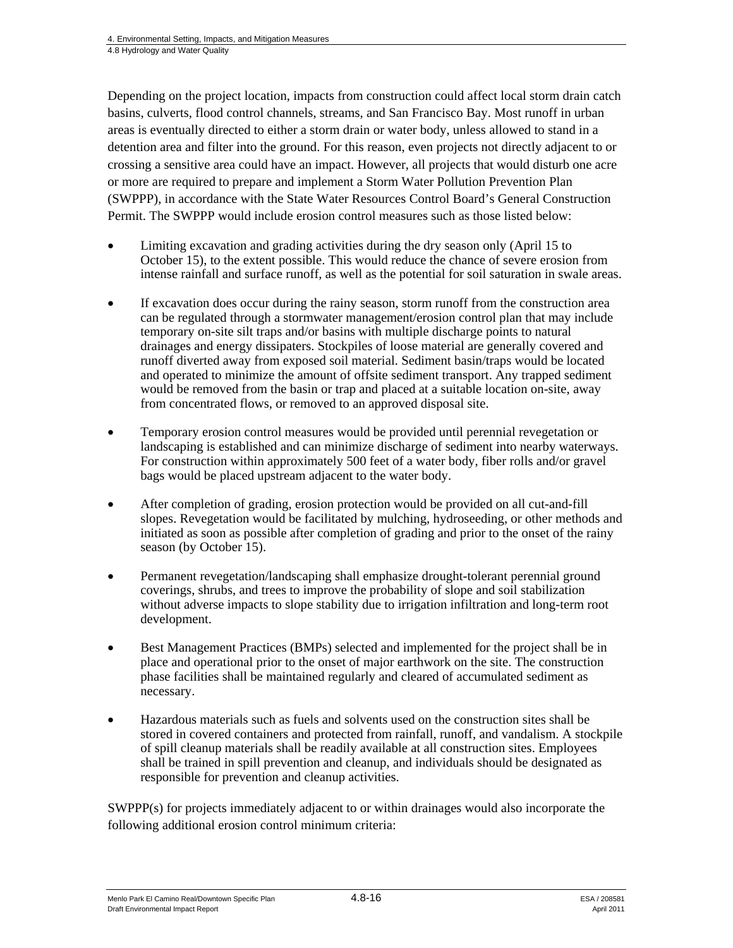Depending on the project location, impacts from construction could affect local storm drain catch basins, culverts, flood control channels, streams, and San Francisco Bay. Most runoff in urban areas is eventually directed to either a storm drain or water body, unless allowed to stand in a detention area and filter into the ground. For this reason, even projects not directly adjacent to or crossing a sensitive area could have an impact. However, all projects that would disturb one acre or more are required to prepare and implement a Storm Water Pollution Prevention Plan (SWPPP), in accordance with the State Water Resources Control Board's General Construction Permit. The SWPPP would include erosion control measures such as those listed below:

- Limiting excavation and grading activities during the dry season only (April 15 to October 15), to the extent possible. This would reduce the chance of severe erosion from intense rainfall and surface runoff, as well as the potential for soil saturation in swale areas.
- If excavation does occur during the rainy season, storm runoff from the construction area can be regulated through a stormwater management/erosion control plan that may include temporary on-site silt traps and/or basins with multiple discharge points to natural drainages and energy dissipaters. Stockpiles of loose material are generally covered and runoff diverted away from exposed soil material. Sediment basin/traps would be located and operated to minimize the amount of offsite sediment transport. Any trapped sediment would be removed from the basin or trap and placed at a suitable location on-site, away from concentrated flows, or removed to an approved disposal site.
- Temporary erosion control measures would be provided until perennial revegetation or landscaping is established and can minimize discharge of sediment into nearby waterways. For construction within approximately 500 feet of a water body, fiber rolls and/or gravel bags would be placed upstream adjacent to the water body.
- After completion of grading, erosion protection would be provided on all cut-and-fill slopes. Revegetation would be facilitated by mulching, hydroseeding, or other methods and initiated as soon as possible after completion of grading and prior to the onset of the rainy season (by October 15).
- Permanent revegetation/landscaping shall emphasize drought-tolerant perennial ground coverings, shrubs, and trees to improve the probability of slope and soil stabilization without adverse impacts to slope stability due to irrigation infiltration and long-term root development.
- Best Management Practices (BMPs) selected and implemented for the project shall be in place and operational prior to the onset of major earthwork on the site. The construction phase facilities shall be maintained regularly and cleared of accumulated sediment as necessary.
- Hazardous materials such as fuels and solvents used on the construction sites shall be stored in covered containers and protected from rainfall, runoff, and vandalism. A stockpile of spill cleanup materials shall be readily available at all construction sites. Employees shall be trained in spill prevention and cleanup, and individuals should be designated as responsible for prevention and cleanup activities.

SWPPP(s) for projects immediately adjacent to or within drainages would also incorporate the following additional erosion control minimum criteria: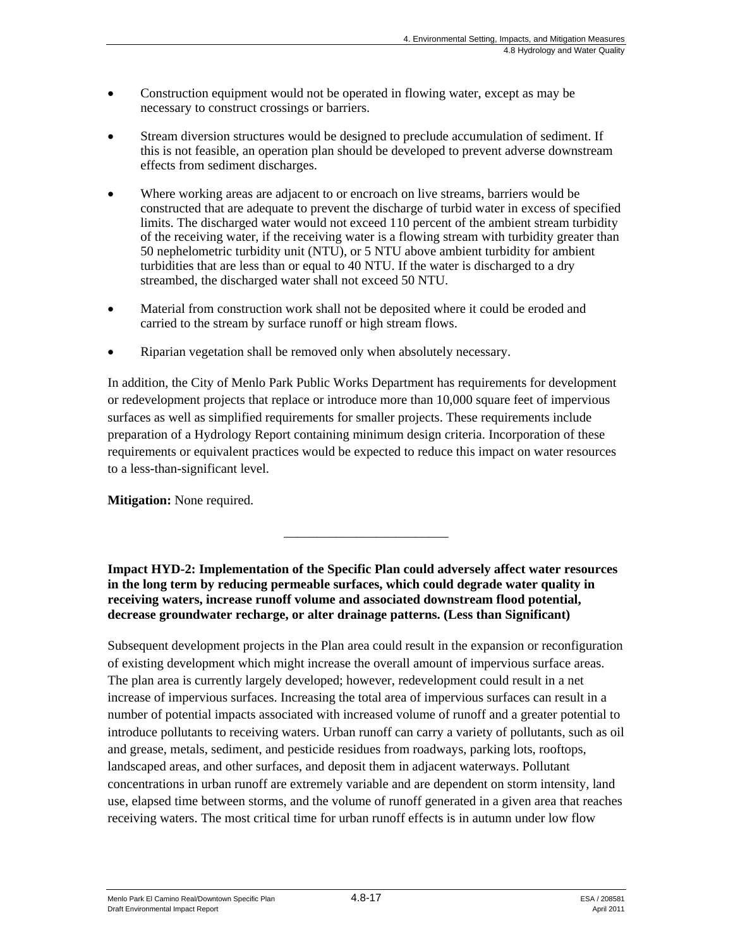- Construction equipment would not be operated in flowing water, except as may be necessary to construct crossings or barriers.
- Stream diversion structures would be designed to preclude accumulation of sediment. If this is not feasible, an operation plan should be developed to prevent adverse downstream effects from sediment discharges.
- Where working areas are adjacent to or encroach on live streams, barriers would be constructed that are adequate to prevent the discharge of turbid water in excess of specified limits. The discharged water would not exceed 110 percent of the ambient stream turbidity of the receiving water, if the receiving water is a flowing stream with turbidity greater than 50 nephelometric turbidity unit (NTU), or 5 NTU above ambient turbidity for ambient turbidities that are less than or equal to 40 NTU. If the water is discharged to a dry streambed, the discharged water shall not exceed 50 NTU.
- Material from construction work shall not be deposited where it could be eroded and carried to the stream by surface runoff or high stream flows.
- Riparian vegetation shall be removed only when absolutely necessary.

In addition, the City of Menlo Park Public Works Department has requirements for development or redevelopment projects that replace or introduce more than 10,000 square feet of impervious surfaces as well as simplified requirements for smaller projects. These requirements include preparation of a Hydrology Report containing minimum design criteria. Incorporation of these requirements or equivalent practices would be expected to reduce this impact on water resources to a less-than-significant level.

**Mitigation:** None required.

**Impact HYD-2: Implementation of the Specific Plan could adversely affect water resources in the long term by reducing permeable surfaces, which could degrade water quality in receiving waters, increase runoff volume and associated downstream flood potential, decrease groundwater recharge, or alter drainage patterns. (Less than Significant)** 

\_\_\_\_\_\_\_\_\_\_\_\_\_\_\_\_\_\_\_\_\_\_\_\_\_

Subsequent development projects in the Plan area could result in the expansion or reconfiguration of existing development which might increase the overall amount of impervious surface areas. The plan area is currently largely developed; however, redevelopment could result in a net increase of impervious surfaces. Increasing the total area of impervious surfaces can result in a number of potential impacts associated with increased volume of runoff and a greater potential to introduce pollutants to receiving waters. Urban runoff can carry a variety of pollutants, such as oil and grease, metals, sediment, and pesticide residues from roadways, parking lots, rooftops, landscaped areas, and other surfaces, and deposit them in adjacent waterways. Pollutant concentrations in urban runoff are extremely variable and are dependent on storm intensity, land use, elapsed time between storms, and the volume of runoff generated in a given area that reaches receiving waters. The most critical time for urban runoff effects is in autumn under low flow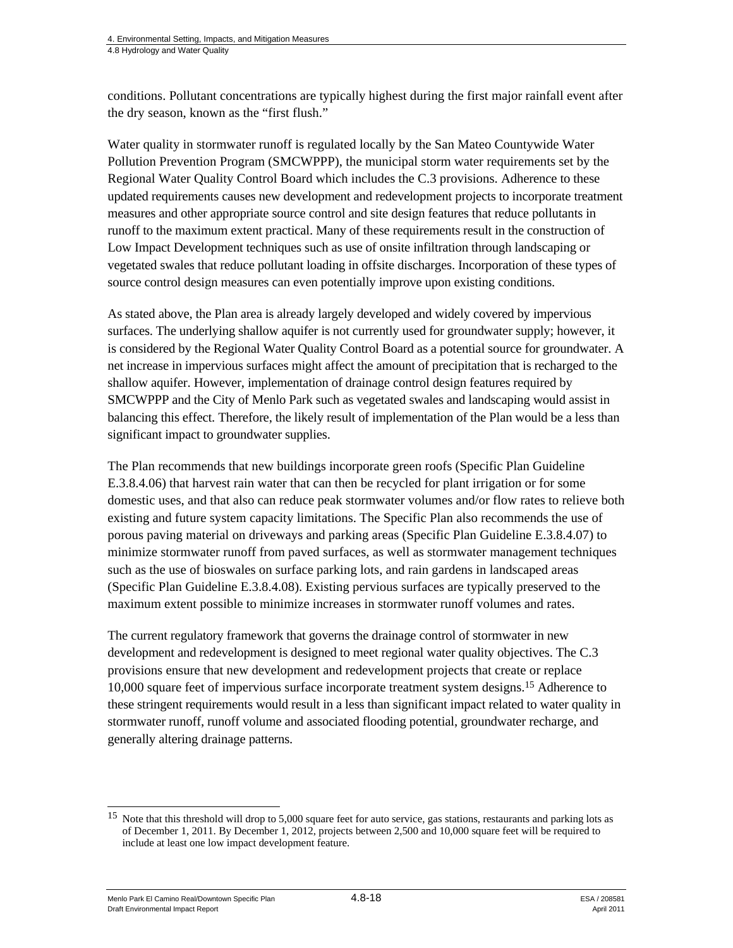conditions. Pollutant concentrations are typically highest during the first major rainfall event after the dry season, known as the "first flush."

Water quality in stormwater runoff is regulated locally by the San Mateo Countywide Water Pollution Prevention Program (SMCWPPP), the municipal storm water requirements set by the Regional Water Quality Control Board which includes the C.3 provisions. Adherence to these updated requirements causes new development and redevelopment projects to incorporate treatment measures and other appropriate source control and site design features that reduce pollutants in runoff to the maximum extent practical. Many of these requirements result in the construction of Low Impact Development techniques such as use of onsite infiltration through landscaping or vegetated swales that reduce pollutant loading in offsite discharges. Incorporation of these types of source control design measures can even potentially improve upon existing conditions.

As stated above, the Plan area is already largely developed and widely covered by impervious surfaces. The underlying shallow aquifer is not currently used for groundwater supply; however, it is considered by the Regional Water Quality Control Board as a potential source for groundwater. A net increase in impervious surfaces might affect the amount of precipitation that is recharged to the shallow aquifer. However, implementation of drainage control design features required by SMCWPPP and the City of Menlo Park such as vegetated swales and landscaping would assist in balancing this effect. Therefore, the likely result of implementation of the Plan would be a less than significant impact to groundwater supplies.

The Plan recommends that new buildings incorporate green roofs (Specific Plan Guideline E.3.8.4.06) that harvest rain water that can then be recycled for plant irrigation or for some domestic uses, and that also can reduce peak stormwater volumes and/or flow rates to relieve both existing and future system capacity limitations. The Specific Plan also recommends the use of porous paving material on driveways and parking areas (Specific Plan Guideline E.3.8.4.07) to minimize stormwater runoff from paved surfaces, as well as stormwater management techniques such as the use of bioswales on surface parking lots, and rain gardens in landscaped areas (Specific Plan Guideline E.3.8.4.08). Existing pervious surfaces are typically preserved to the maximum extent possible to minimize increases in stormwater runoff volumes and rates.

The current regulatory framework that governs the drainage control of stormwater in new development and redevelopment is designed to meet regional water quality objectives. The C.3 provisions ensure that new development and redevelopment projects that create or replace 10,000 square feet of impervious surface incorporate treatment system designs.15 Adherence to these stringent requirements would result in a less than significant impact related to water quality in stormwater runoff, runoff volume and associated flooding potential, groundwater recharge, and generally altering drainage patterns.

Menlo Park El Camino Real/Downtown Specific Plan 4.8-18 4.8-18 ESA / 208581 Draft Environmental Impact Report April 2011

 $\overline{\phantom{a}}$ 

<sup>&</sup>lt;sup>15</sup> Note that this threshold will drop to 5,000 square feet for auto service, gas stations, restaurants and parking lots as of December 1, 2011. By December 1, 2012, projects between 2,500 and 10,000 square feet will be required to include at least one low impact development feature.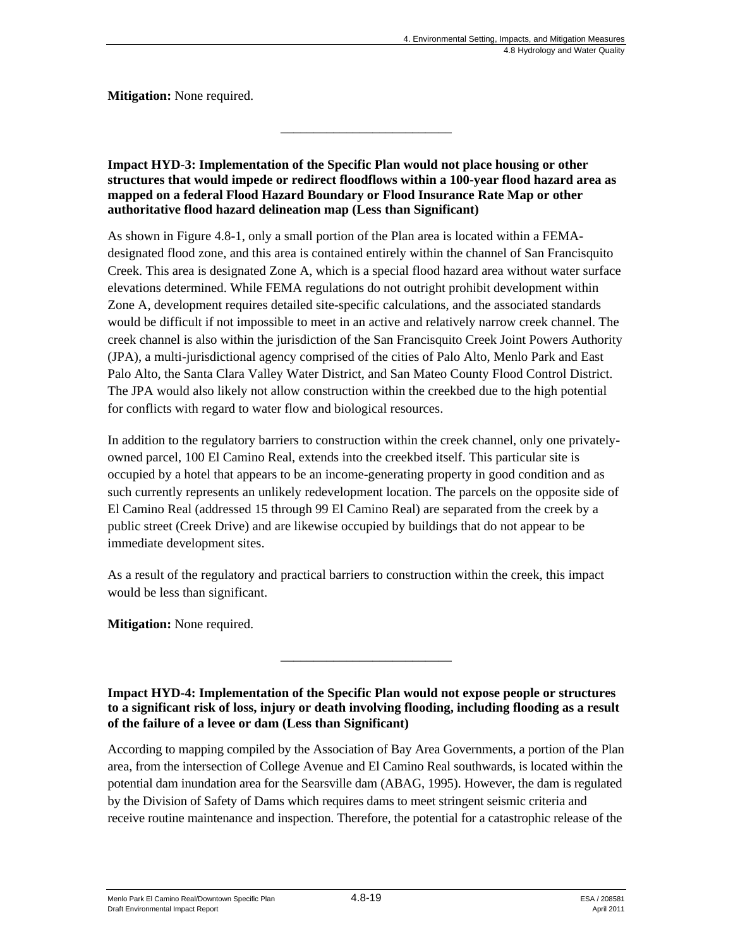**Mitigation:** None required.

**Impact HYD-3: Implementation of the Specific Plan would not place housing or other structures that would impede or redirect floodflows within a 100-year flood hazard area as mapped on a federal Flood Hazard Boundary or Flood Insurance Rate Map or other authoritative flood hazard delineation map (Less than Significant)**

\_\_\_\_\_\_\_\_\_\_\_\_\_\_\_\_\_\_\_\_\_\_\_\_\_\_

As shown in Figure 4.8-1, only a small portion of the Plan area is located within a FEMAdesignated flood zone, and this area is contained entirely within the channel of San Francisquito Creek. This area is designated Zone A, which is a special flood hazard area without water surface elevations determined. While FEMA regulations do not outright prohibit development within Zone A, development requires detailed site-specific calculations, and the associated standards would be difficult if not impossible to meet in an active and relatively narrow creek channel. The creek channel is also within the jurisdiction of the San Francisquito Creek Joint Powers Authority (JPA), a multi-jurisdictional agency comprised of the cities of Palo Alto, Menlo Park and East Palo Alto, the Santa Clara Valley Water District, and San Mateo County Flood Control District. The JPA would also likely not allow construction within the creekbed due to the high potential for conflicts with regard to water flow and biological resources.

In addition to the regulatory barriers to construction within the creek channel, only one privatelyowned parcel, 100 El Camino Real, extends into the creekbed itself. This particular site is occupied by a hotel that appears to be an income-generating property in good condition and as such currently represents an unlikely redevelopment location. The parcels on the opposite side of El Camino Real (addressed 15 through 99 El Camino Real) are separated from the creek by a public street (Creek Drive) and are likewise occupied by buildings that do not appear to be immediate development sites.

As a result of the regulatory and practical barriers to construction within the creek, this impact would be less than significant.

**Mitigation:** None required.

**Impact HYD-4: Implementation of the Specific Plan would not expose people or structures to a significant risk of loss, injury or death involving flooding, including flooding as a result of the failure of a levee or dam (Less than Significant)**

\_\_\_\_\_\_\_\_\_\_\_\_\_\_\_\_\_\_\_\_\_\_\_\_\_\_

According to mapping compiled by the Association of Bay Area Governments, a portion of the Plan area, from the intersection of College Avenue and El Camino Real southwards, is located within the potential dam inundation area for the Searsville dam (ABAG, 1995). However, the dam is regulated by the Division of Safety of Dams which requires dams to meet stringent seismic criteria and receive routine maintenance and inspection. Therefore, the potential for a catastrophic release of the